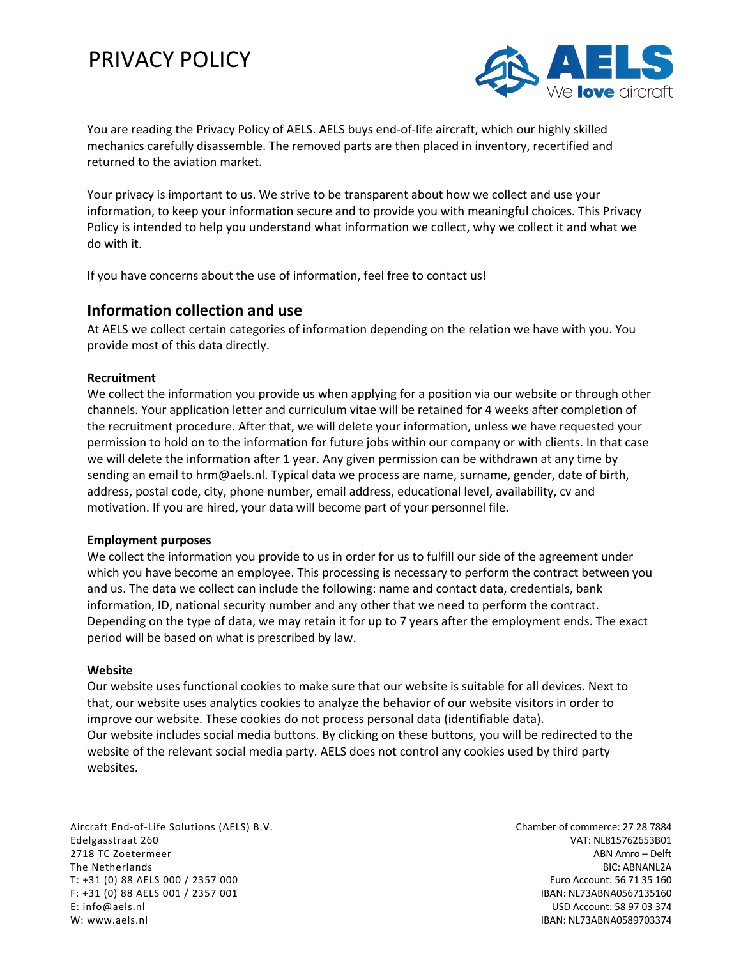# PRIVACY POLICY



You are reading the Privacy Policy of AELS. AELS buys end-of-life aircraft, which our highly skilled mechanics carefully disassemble. The removed parts are then placed in inventory, recertified and returned to the aviation market.

Your privacy is important to us. We strive to be transparent about how we collect and use your information, to keep your information secure and to provide you with meaningful choices. This Privacy Policy is intended to help you understand what information we collect, why we collect it and what we do with it.

If you have concerns about the use of information, feel free to contact us!

### **Information collection and use**

At AELS we collect certain categories of information depending on the relation we have with you. You provide most of this data directly.

### **Recruitment**

We collect the information you provide us when applying for a position via our website or through other channels. Your application letter and curriculum vitae will be retained for 4 weeks after completion of the recruitment procedure. After that, we will delete your information, unless we have requested your permission to hold on to the information for future jobs within our company or with clients. In that case we will delete the information after 1 year. Any given permission can be withdrawn at any time by sending an email to hrm@aels.nl. Typical data we process are name, surname, gender, date of birth, address, postal code, city, phone number, email address, educational level, availability, cv and motivation. If you are hired, your data will become part of your personnel file.

#### **Employment purposes**

We collect the information you provide to us in order for us to fulfill our side of the agreement under which you have become an employee. This processing is necessary to perform the contract between you and us. The data we collect can include the following: name and contact data, credentials, bank information, ID, national security number and any other that we need to perform the contract. Depending on the type of data, we may retain it for up to 7 years after the employment ends. The exact period will be based on what is prescribed by law.

#### **Website**

Our website uses functional cookies to make sure that our website is suitable for all devices. Next to that, our website uses analytics cookies to analyze the behavior of our website visitors in order to improve our website. These cookies do not process personal data (identifiable data). Our website includes social media buttons. By clicking on these buttons, you will be redirected to the website of the relevant social media party. AELS does not control any cookies used by third party websites.

Aircraft End-of-Life Solutions (AELS) B.V. Edelgasstraat 260 2718 TC Zoetermeer The Netherlands T: +31 (0) 88 AELS 000 / 2357 000 F: +31 (0) 88 AELS 001 / 2357 001 E: info@aels.nl W: www.aels.nl

Chamber of commerce: 27 28 7884 VAT: NL815762653B01 ABN Amro – Delft BIC: ABNANL2A Euro Account: 56 71 35 160 IBAN: NL73ABNA0567135160 USD Account: 58 97 03 374 IBAN: NL73ABNA0589703374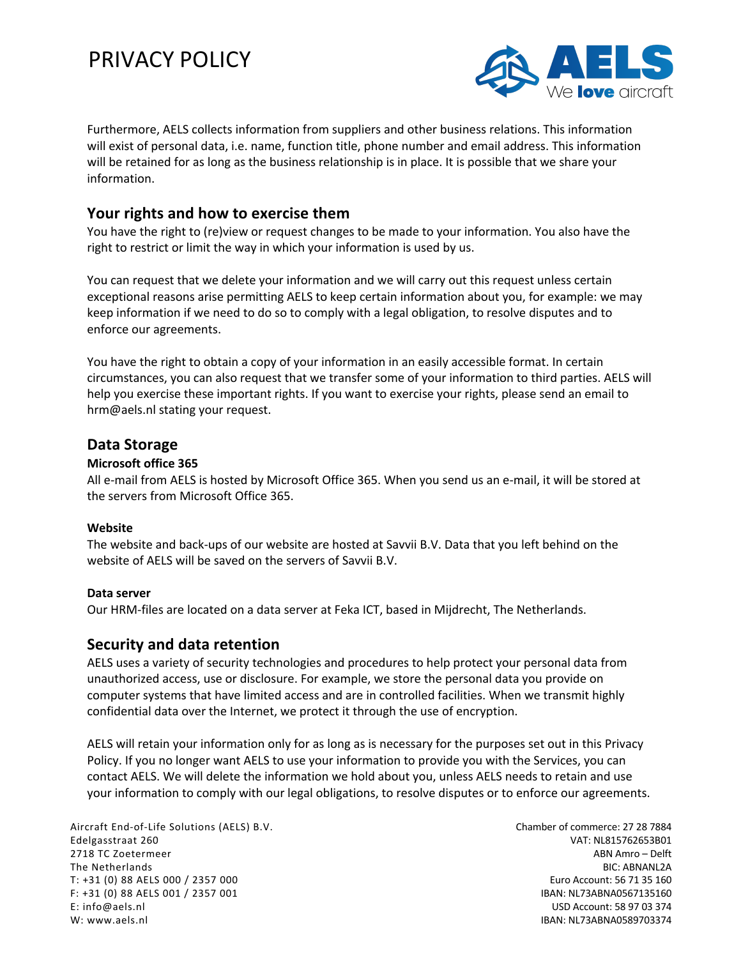# PRIVACY POLICY



Furthermore, AELS collects information from suppliers and other business relations. This information will exist of personal data, i.e. name, function title, phone number and email address. This information will be retained for as long as the business relationship is in place. It is possible that we share your information.

# **Your rights and how to exercise them**

You have the right to (re)view or request changes to be made to your information. You also have the right to restrict or limit the way in which your information is used by us.

You can request that we delete your information and we will carry out this request unless certain exceptional reasons arise permitting AELS to keep certain information about you, for example: we may keep information if we need to do so to comply with a legal obligation, to resolve disputes and to enforce our agreements.

You have the right to obtain a copy of your information in an easily accessible format. In certain circumstances, you can also request that we transfer some of your information to third parties. AELS will help you exercise these important rights. If you want to exercise your rights, please send an email to hrm@aels.nl stating your request.

# **Data Storage**

### **Microsoft office 365**

All e-mail from AELS is hosted by Microsoft Office 365. When you send us an e-mail, it will be stored at the servers from Microsoft Office 365.

### **Website**

The website and back-ups of our website are hosted at Savvii B.V. Data that you left behind on the website of AELS will be saved on the servers of Savvii B.V.

### **Data server**

Our HRM-files are located on a data server at Feka ICT, based in Mijdrecht, The Netherlands.

# **Security and data retention**

AELS uses a variety of security technologies and procedures to help protect your personal data from unauthorized access, use or disclosure. For example, we store the personal data you provide on computer systems that have limited access and are in controlled facilities. When we transmit highly confidential data over the Internet, we protect it through the use of encryption.

AELS will retain your information only for as long as is necessary for the purposes set out in this Privacy Policy. If you no longer want AELS to use your information to provide you with the Services, you can contact AELS. We will delete the information we hold about you, unless AELS needs to retain and use your information to comply with our legal obligations, to resolve disputes or to enforce our agreements.

Aircraft End-of-Life Solutions (AELS) B.V. Edelgasstraat 260 2718 TC Zoetermeer The Netherlands T: +31 (0) 88 AELS 000 / 2357 000 F: +31 (0) 88 AELS 001 / 2357 001 E: info@aels.nl W: www.aels.nl

Chamber of commerce: 27 28 7884 VAT: NL815762653B01 ABN Amro – Delft BIC: ABNANL2A Euro Account: 56 71 35 160 IBAN: NL73ABNA0567135160 USD Account: 58 97 03 374 IBAN: NL73ABNA0589703374